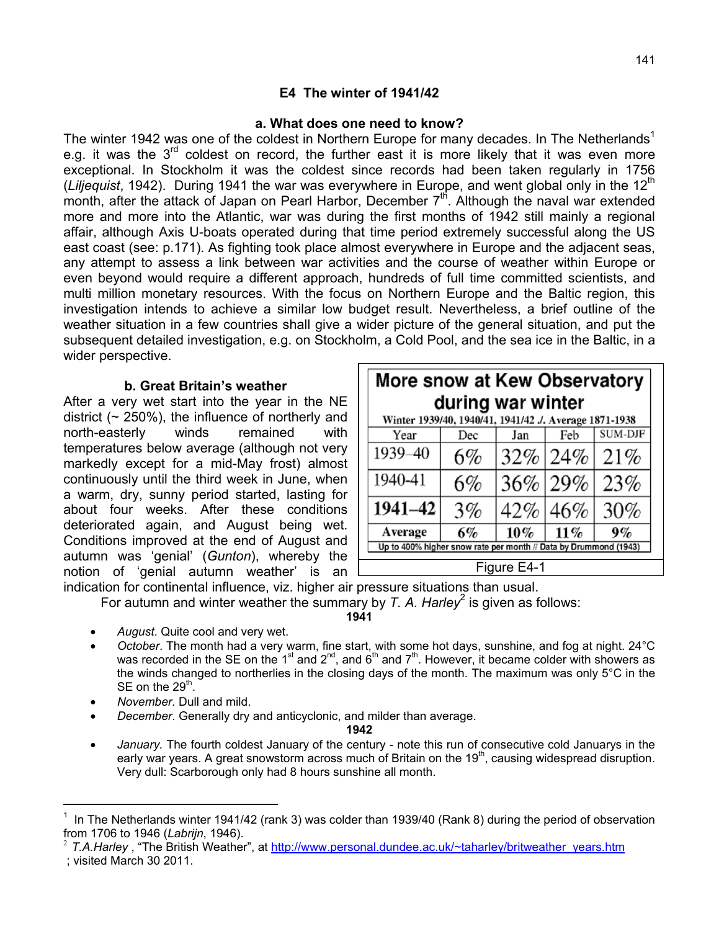## **E4 The winter of 1941/42**

#### **a. What does one need to know?**

The winter 1942 was one of the coldest in Northern Europe for many decades. In The Netherlands<sup>1</sup> e.g. it was the  $3<sup>rd</sup>$  coldest on record, the further east it is more likely that it was even more exceptional. In Stockholm it was the coldest since records had been taken regularly in 1756 (*Liljequist*, 1942). During 1941 the war was everywhere in Europe, and went global only in the 12<sup>th</sup> month, after the attack of Japan on Pearl Harbor, December  $7<sup>th</sup>$ . Although the naval war extended more and more into the Atlantic, war was during the first months of 1942 still mainly a regional affair, although Axis U-boats operated during that time period extremely successful along the US east coast (see: p.171). As fighting took place almost everywhere in Europe and the adjacent seas, any attempt to assess a link between war activities and the course of weather within Europe or even beyond would require a different approach, hundreds of full time committed scientists, and multi million monetary resources. With the focus on Northern Europe and the Baltic region, this investigation intends to achieve a similar low budget result. Nevertheless, a brief outline of the weather situation in a few countries shall give a wider picture of the general situation, and put the subsequent detailed investigation, e.g. on Stockholm, a Cold Pool, and the sea ice in the Baltic, in a wider perspective.

#### **b. Great Britain's weather**

After a very wet start into the year in the NE district  $($   $\sim$  250%), the influence of northerly and north-easterly winds remained with temperatures below average (although not very markedly except for a mid-May frost) almost continuously until the third week in June, when a warm, dry, sunny period started, lasting for about four weeks. After these conditions deteriorated again, and August being wet. Conditions improved at the end of August and autumn was 'genial' (*Gunton*), whereby the notion of 'genial autumn weather' is an

| More snow at Kew Observatory<br>during war winter                |     |         |     |                |  |  |  |
|------------------------------------------------------------------|-----|---------|-----|----------------|--|--|--|
| Winter 1939/40, 1940/41, 1941/42 J. Average 1871-1938<br>Year    | Dec | Jan     | Feb | <b>SUM-DJF</b> |  |  |  |
| 1939-40                                                          | 6%  | 32% 24% |     | 21%            |  |  |  |
| 1940-41                                                          | 6%  | $36\%$  | 29% | 23%            |  |  |  |
| 1941-42                                                          | 3%  | 42%     | 46% | 30%            |  |  |  |
| Average                                                          | 6%  | $10\%$  | 11% | 9%             |  |  |  |
| Up to 400% higher snow rate per month // Data by Drummond (1943) |     |         |     |                |  |  |  |
| Figure E4-1                                                      |     |         |     |                |  |  |  |

indication for continental influence, viz. higher air pressure situations than usual.

For autumn and winter weather the summary by *T. A. Harley*<sup>2</sup> is given as follows:

## **1941**

- *August*. Quite cool and very wet.
- *October*. The month had a very warm, fine start, with some hot days, sunshine, and fog at night. 24°C was recorded in the SE on the 1<sup>st</sup> and 2<sup>nd</sup>, and 6<sup>th</sup> and 7<sup>th</sup>. However, it became colder with showers as the winds changed to northerlies in the closing days of the month. The maximum was only 5°C in the SE on the  $29<sup>th</sup>$ .
- *November*. Dull and mild.
- *December*. Generally dry and anticyclonic, and milder than average.

#### **1942**

• *January.* The fourth coldest January of the century - note this run of consecutive cold Januarys in the early war years. A great snowstorm across much of Britain on the 19<sup>th</sup>, causing widespread disruption. Very dull: Scarborough only had 8 hours sunshine all month.

 $\overline{a}$ 

<sup>1</sup> In The Netherlands winter 1941/42 (rank 3) was colder than 1939/40 (Rank 8) during the period of observation from 1706 to 1946 (*Labrijn*, 1946).

<sup>&</sup>lt;sup>2</sup> T.A.Harley, "The British Weather", at http://www.personal.dundee.ac.uk/~taharley/britweather\_years.htm

 <sup>;</sup> visited March 30 2011.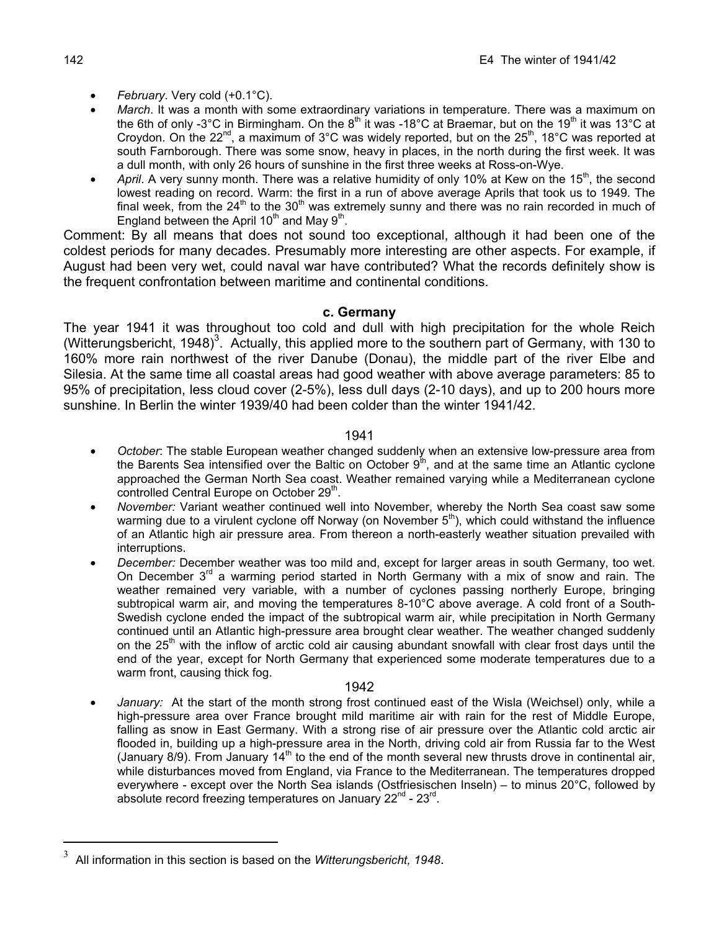- *February*. Very cold (+0.1°C).
- *March*. It was a month with some extraordinary variations in temperature. There was a maximum on the 6th of only -3°C in Birmingham. On the 8<sup>th</sup> it was -18°C at Braemar, but on the 19<sup>th</sup> it was 13°C at Croydon. On the  $22<sup>nd</sup>$ , a maximum of  $3<sup>o</sup>C$  was widely reported, but on the  $25<sup>th</sup>$ , 18°C was reported at south Farnborough. There was some snow, heavy in places, in the north during the first week. It was a dull month, with only 26 hours of sunshine in the first three weeks at Ross-on-Wye.
- April. A very sunny month. There was a relative humidity of only 10% at Kew on the 15<sup>th</sup>, the second lowest reading on record. Warm: the first in a run of above average Aprils that took us to 1949. The final week, from the  $24<sup>th</sup>$  to the 30<sup>th</sup> was extremely sunny and there was no rain recorded in much of England between the April  $10^{th}$  and Mav  $9^{th}$ .

Comment: By all means that does not sound too exceptional, although it had been one of the coldest periods for many decades. Presumably more interesting are other aspects. For example, if August had been very wet, could naval war have contributed? What the records definitely show is the frequent confrontation between maritime and continental conditions.

## **c. Germany**

The year 1941 it was throughout too cold and dull with high precipitation for the whole Reich (Witterungsbericht, 1948)<sup>3</sup>. Actually, this applied more to the southern part of Germany, with 130 to 160% more rain northwest of the river Danube (Donau), the middle part of the river Elbe and Silesia. At the same time all coastal areas had good weather with above average parameters: 85 to 95% of precipitation, less cloud cover (2-5%), less dull days (2-10 days), and up to 200 hours more sunshine. In Berlin the winter 1939/40 had been colder than the winter 1941/42.

## 1941

- *October*: The stable European weather changed suddenly when an extensive low-pressure area from the Barents Sea intensified over the Baltic on October  $9<sup>th</sup>$ , and at the same time an Atlantic cyclone approached the German North Sea coast. Weather remained varying while a Mediterranean cyclone controlled Central Europe on October 29<sup>th</sup>.
- *November:* Variant weather continued well into November, whereby the North Sea coast saw some warming due to a virulent cyclone off Norway (on November  $5<sup>th</sup>$ ), which could withstand the influence of an Atlantic high air pressure area. From thereon a north-easterly weather situation prevailed with interruptions.
- *December:* December weather was too mild and, except for larger areas in south Germany, too wet. On December  $3<sup>rd</sup>$  a warming period started in North Germany with a mix of snow and rain. The weather remained very variable, with a number of cyclones passing northerly Europe, bringing subtropical warm air, and moving the temperatures 8-10°C above average. A cold front of a South-Swedish cyclone ended the impact of the subtropical warm air, while precipitation in North Germany continued until an Atlantic high-pressure area brought clear weather. The weather changed suddenly on the 25<sup>th</sup> with the inflow of arctic cold air causing abundant snowfall with clear frost days until the end of the year, except for North Germany that experienced some moderate temperatures due to a warm front, causing thick fog.

#### 1942

• *January:* At the start of the month strong frost continued east of the Wisla (Weichsel) only, while a high-pressure area over France brought mild maritime air with rain for the rest of Middle Europe, falling as snow in East Germany. With a strong rise of air pressure over the Atlantic cold arctic air flooded in, building up a high-pressure area in the North, driving cold air from Russia far to the West (January 8/9). From January  $14<sup>th</sup>$  to the end of the month several new thrusts drove in continental air, while disturbances moved from England, via France to the Mediterranean. The temperatures dropped everywhere - except over the North Sea islands (Ostfriesischen Inseln) – to minus 20°C, followed by absolute record freezing temperatures on January  $22^{nd}$  -  $23^{rd}$ .

 $\overline{a}$ 

<sup>3</sup> All information in this section is based on the *Witterungsbericht, 1948*.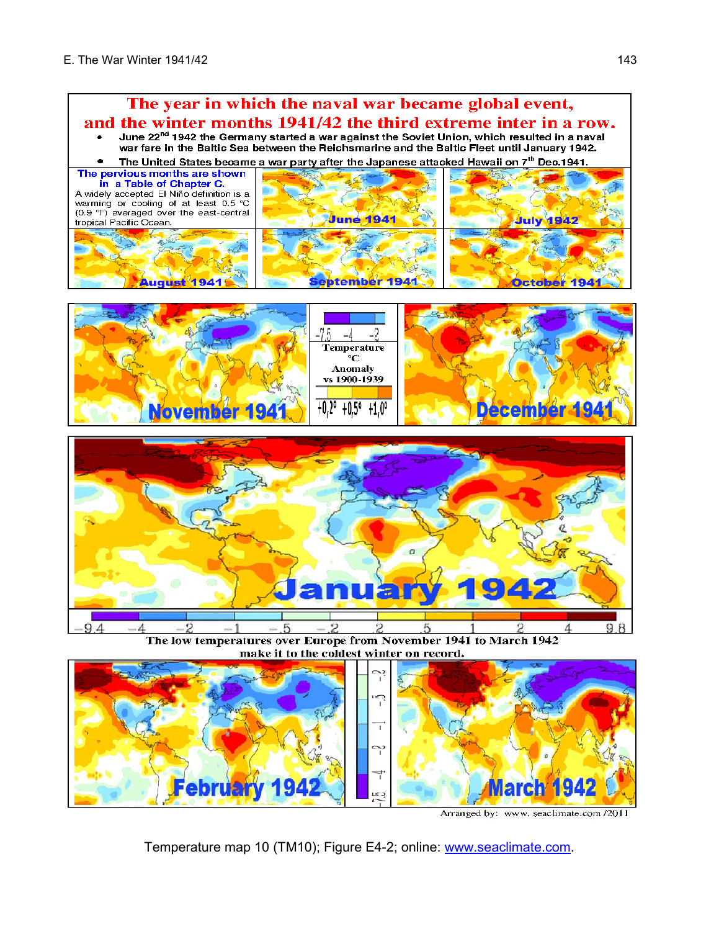

Arranged by: www. seaclimate.com /2011

Temperature map 10 (TM10); Figure E4-2; online: www.seaclimate.com.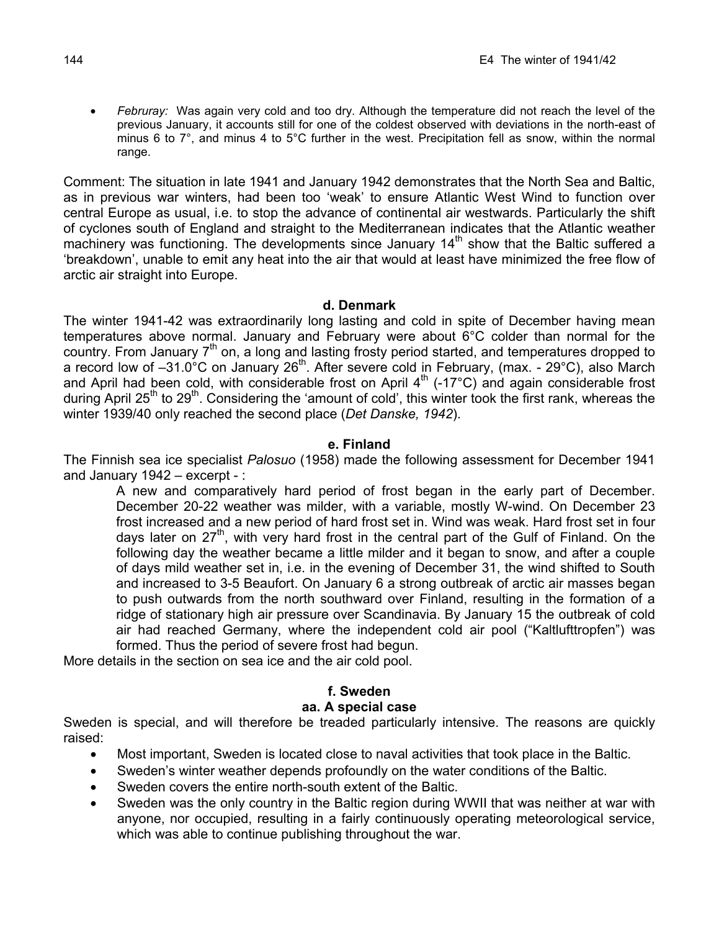• *Februray:* Was again very cold and too dry. Although the temperature did not reach the level of the previous January, it accounts still for one of the coldest observed with deviations in the north-east of minus 6 to 7°, and minus 4 to 5°C further in the west. Precipitation fell as snow, within the normal range.

Comment: The situation in late 1941 and January 1942 demonstrates that the North Sea and Baltic, as in previous war winters, had been too 'weak' to ensure Atlantic West Wind to function over central Europe as usual, i.e. to stop the advance of continental air westwards. Particularly the shift of cyclones south of England and straight to the Mediterranean indicates that the Atlantic weather machinery was functioning. The developments since January  $14<sup>th</sup>$  show that the Baltic suffered a 'breakdown', unable to emit any heat into the air that would at least have minimized the free flow of arctic air straight into Europe.

#### **d. Denmark**

The winter 1941-42 was extraordinarily long lasting and cold in spite of December having mean temperatures above normal. January and February were about 6°C colder than normal for the country. From January 7<sup>th</sup> on, a long and lasting frosty period started, and temperatures dropped to a record low of -31.0°C on January 26<sup>th</sup>. After severe cold in February, (max. - 29°C), also March and April had been cold, with considerable frost on April 4<sup>th</sup> (-17°C) and again considerable frost during April 25<sup>th</sup> to 29<sup>th</sup>. Considering the 'amount of cold', this winter took the first rank, whereas the winter 1939/40 only reached the second place (*Det Danske, 1942*).

#### **e. Finland**

The Finnish sea ice specialist *Palosuo* (1958) made the following assessment for December 1941 and January 1942 – excerpt - :

A new and comparatively hard period of frost began in the early part of December. December 20-22 weather was milder, with a variable, mostly W-wind. On December 23 frost increased and a new period of hard frost set in. Wind was weak. Hard frost set in four days later on  $27<sup>th</sup>$ , with very hard frost in the central part of the Gulf of Finland. On the following day the weather became a little milder and it began to snow, and after a couple of days mild weather set in, i.e. in the evening of December 31, the wind shifted to South and increased to 3-5 Beaufort. On January 6 a strong outbreak of arctic air masses began to push outwards from the north southward over Finland, resulting in the formation of a ridge of stationary high air pressure over Scandinavia. By January 15 the outbreak of cold air had reached Germany, where the independent cold air pool ("Kaltlufttropfen") was formed. Thus the period of severe frost had begun.

More details in the section on sea ice and the air cold pool.

## **f. Sweden**

## **aa. A special case**

Sweden is special, and will therefore be treaded particularly intensive. The reasons are quickly raised:

- Most important, Sweden is located close to naval activities that took place in the Baltic.
- Sweden's winter weather depends profoundly on the water conditions of the Baltic.
- Sweden covers the entire north-south extent of the Baltic.
- Sweden was the only country in the Baltic region during WWII that was neither at war with anyone, nor occupied, resulting in a fairly continuously operating meteorological service, which was able to continue publishing throughout the war.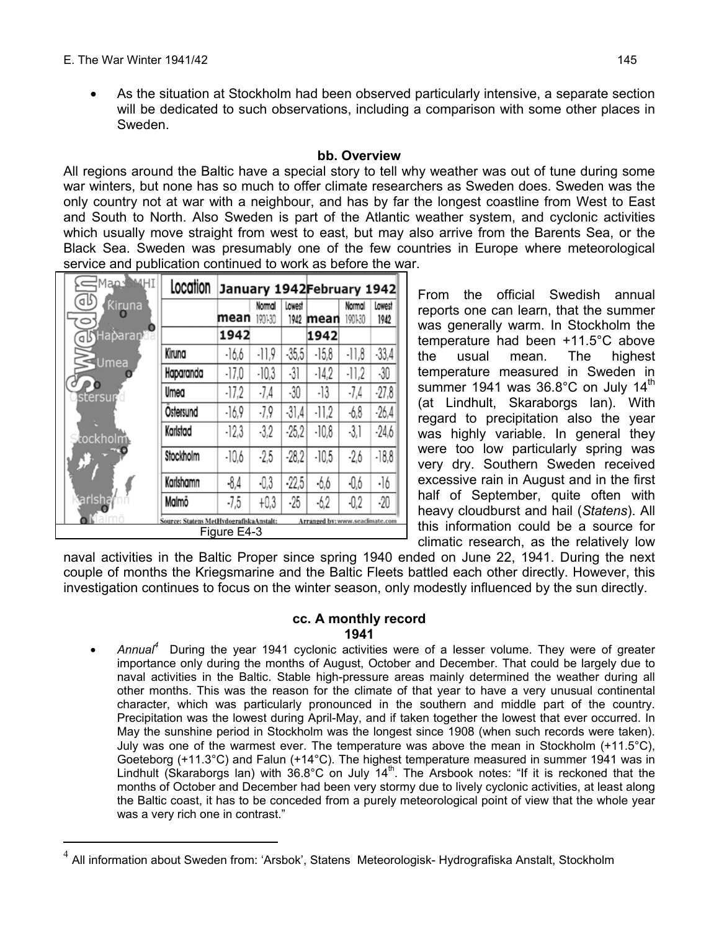$\overline{a}$ 

• As the situation at Stockholm had been observed particularly intensive, a separate section will be dedicated to such observations, including a comparison with some other places in Sweden.

## **bb. Overview**

All regions around the Baltic have a special story to tell why weather was out of tune during some war winters, but none has so much to offer climate researchers as Sweden does. Sweden was the only country not at war with a neighbour, and has by far the longest coastline from West to East and South to North. Also Sweden is part of the Atlantic weather system, and cyclonic activities which usually move straight from west to east, but may also arrive from the Barents Sea, or the Black Sea. Sweden was presumably one of the few countries in Europe where meteorological service and publication continued to work as before the war.

| Map:                                                                                      | Location<br>January 1942February 1942 |         |                   |                |         |                   |                |
|-------------------------------------------------------------------------------------------|---------------------------------------|---------|-------------------|----------------|---------|-------------------|----------------|
| dЬ<br>Kiruna<br>0                                                                         |                                       | mean    | Normal<br>1901-30 | Lowest<br>1942 | mean    | Normal<br>1901-30 | Lowest<br>1942 |
| d Haparant <sup>o</sup>                                                                   |                                       | 1942    |                   |                | 1942    |                   |                |
| $\leq$ Umea                                                                               | Kiruna                                | $-16,6$ | $-11,9$           | $-35,5$        | $-15,8$ | $-11,8$           | $-33,4$        |
|                                                                                           | Haparanda                             | $-17.0$ | $-10.3$           | -31            | $-14.2$ | $-11,2$           | $-30$          |
| stersun                                                                                   | Umea                                  | $-17.2$ | $-7,4$            | -30            | -13     | $-7,4$            | $-27,8$        |
|                                                                                           | Östersund                             | $-16.9$ | $-7,9$            | $-31,4$        | $-11.2$ | -6,8              | $-26,4$        |
| <b>Stockholm</b>                                                                          | Karlstad                              | $-12.3$ | $-3.2$            | $-25.2$        | $-10.8$ | $-3.1$            | $-24.6$        |
| C.                                                                                        | Stockholm                             | $-10,6$ | $-2,5$            | $-28,2$        | $-10.5$ | $-2,6$            | $-18,8$        |
|                                                                                           | Karlshamn                             | $-8.4$  | -0,3              | $-22.5$        | $-6.6$  | -0,6              | $\cdot$ ]6     |
| <b>Carlsha</b>                                                                            | Malmö                                 | $-7,5$  | $+0.3$            | $-25$          | $-6.2$  | $-0.2$            | $-20$          |
| Source: Statens MetHydografiskaAnstalt;<br>Arranged by: www.seaclimate.com<br>Figure E4-3 |                                       |         |                   |                |         |                   |                |

From the official Swedish annual reports one can learn, that the summer was generally warm. In Stockholm the temperature had been +11.5°C above the usual mean. The highest temperature measured in Sweden in summer 1941 was  $36.8^{\circ}$ C on July 14<sup>th</sup> (at Lindhult, Skaraborgs lan). With regard to precipitation also the year was highly variable. In general they were too low particularly spring was very dry. Southern Sweden received excessive rain in August and in the first half of September, quite often with heavy cloudburst and hail (*Statens*). All this information could be a source for climatic research, as the relatively low

naval activities in the Baltic Proper since spring 1940 ended on June 22, 1941. During the next couple of months the Kriegsmarine and the Baltic Fleets battled each other directly. However, this investigation continues to focus on the winter season, only modestly influenced by the sun directly.

#### **cc. A monthly record 1941**

• Annual<sup>4</sup> During the year 1941 cyclonic activities were of a lesser volume. They were of greater importance only during the months of August, October and December. That could be largely due to naval activities in the Baltic. Stable high-pressure areas mainly determined the weather during all other months. This was the reason for the climate of that year to have a very unusual continental character, which was particularly pronounced in the southern and middle part of the country. Precipitation was the lowest during April-May, and if taken together the lowest that ever occurred. In May the sunshine period in Stockholm was the longest since 1908 (when such records were taken). July was one of the warmest ever. The temperature was above the mean in Stockholm  $(+11.5^{\circ}C)$ , Goeteborg (+11.3°C) and Falun (+14°C). The highest temperature measured in summer 1941 was in Lindhult (Skaraborgs lan) with  $36.8^{\circ}$ C on July  $14^{\text{th}}$ . The Arsbook notes: "If it is reckoned that the months of October and December had been very stormy due to lively cyclonic activities, at least along the Baltic coast, it has to be conceded from a purely meteorological point of view that the whole year was a very rich one in contrast."

<sup>4</sup> All information about Sweden from: 'Arsbok', Statens Meteorologisk- Hydrografiska Anstalt, Stockholm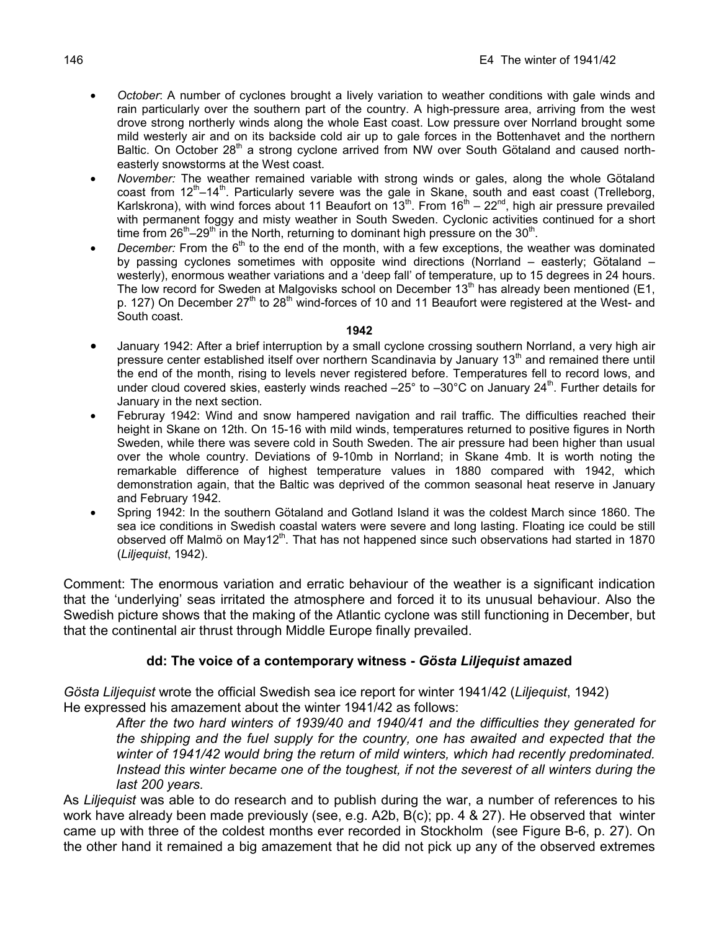- *October*: A number of cyclones brought a lively variation to weather conditions with gale winds and rain particularly over the southern part of the country. A high-pressure area, arriving from the west drove strong northerly winds along the whole East coast. Low pressure over Norrland brought some mild westerly air and on its backside cold air up to gale forces in the Bottenhavet and the northern Baltic. On October 28<sup>th</sup> a strong cyclone arrived from NW over South Götaland and caused northeasterly snowstorms at the West coast.
- *November:* The weather remained variable with strong winds or gales, along the whole Götaland coast from  $12<sup>th</sup>-14<sup>th</sup>$ . Particularly severe was the gale in Skane, south and east coast (Trelleborg, Karlskrona), with wind forces about 11 Beaufort on  $13^{\text{th}}$ . From  $16^{\text{th}} - 22^{\text{nd}}$ , high air pressure prevailed with permanent foggy and misty weather in South Sweden. Cyclonic activities continued for a short time from  $26<sup>th</sup> - 29<sup>th</sup>$  in the North, returning to dominant high pressure on the 30<sup>th</sup>.
- *December:* From the 6<sup>th</sup> to the end of the month, with a few exceptions, the weather was dominated by passing cyclones sometimes with opposite wind directions (Norrland – easterly; Götaland – westerly), enormous weather variations and a 'deep fall' of temperature, up to 15 degrees in 24 hours. The low record for Sweden at Malgovisks school on December  $13<sup>th</sup>$  has already been mentioned (E1, p. 127) On December  $27<sup>th</sup>$  to  $28<sup>th</sup>$  wind-forces of 10 and 11 Beaufort were registered at the West- and South coast.

#### **1942**

- January 1942: After a brief interruption by a small cyclone crossing southern Norrland, a very high air pressure center established itself over northern Scandinavia by January 13<sup>th</sup> and remained there until the end of the month, rising to levels never registered before. Temperatures fell to record lows, and under cloud covered skies, easterly winds reached  $-25^\circ$  to  $-30^\circ$ C on January 24<sup>th</sup>. Further details for January in the next section.
- Februray 1942: Wind and snow hampered navigation and rail traffic. The difficulties reached their height in Skane on 12th. On 15-16 with mild winds, temperatures returned to positive figures in North Sweden, while there was severe cold in South Sweden. The air pressure had been higher than usual over the whole country. Deviations of 9-10mb in Norrland; in Skane 4mb. It is worth noting the remarkable difference of highest temperature values in 1880 compared with 1942, which demonstration again, that the Baltic was deprived of the common seasonal heat reserve in January and February 1942.
- Spring 1942: In the southern Götaland and Gotland Island it was the coldest March since 1860. The sea ice conditions in Swedish coastal waters were severe and long lasting. Floating ice could be still observed off Malmö on May12<sup>th</sup>. That has not happened since such observations had started in 1870 (*Liljequist*, 1942).

Comment: The enormous variation and erratic behaviour of the weather is a significant indication that the 'underlying' seas irritated the atmosphere and forced it to its unusual behaviour. Also the Swedish picture shows that the making of the Atlantic cyclone was still functioning in December, but that the continental air thrust through Middle Europe finally prevailed.

## **dd: The voice of a contemporary witness -** *Gösta Liljequist* **amazed**

*Gösta Liljequist* wrote the official Swedish sea ice report for winter 1941/42 (*Liljequist*, 1942) He expressed his amazement about the winter 1941/42 as follows:

*After the two hard winters of 1939/40 and 1940/41 and the difficulties they generated for the shipping and the fuel supply for the country, one has awaited and expected that the winter of 1941/42 would bring the return of mild winters, which had recently predominated. Instead this winter became one of the toughest, if not the severest of all winters during the last 200 years.* 

As *Liljequist* was able to do research and to publish during the war, a number of references to his work have already been made previously (see, e.g. A2b, B(c); pp. 4 & 27). He observed that winter came up with three of the coldest months ever recorded in Stockholm (see Figure B-6, p. 27). On the other hand it remained a big amazement that he did not pick up any of the observed extremes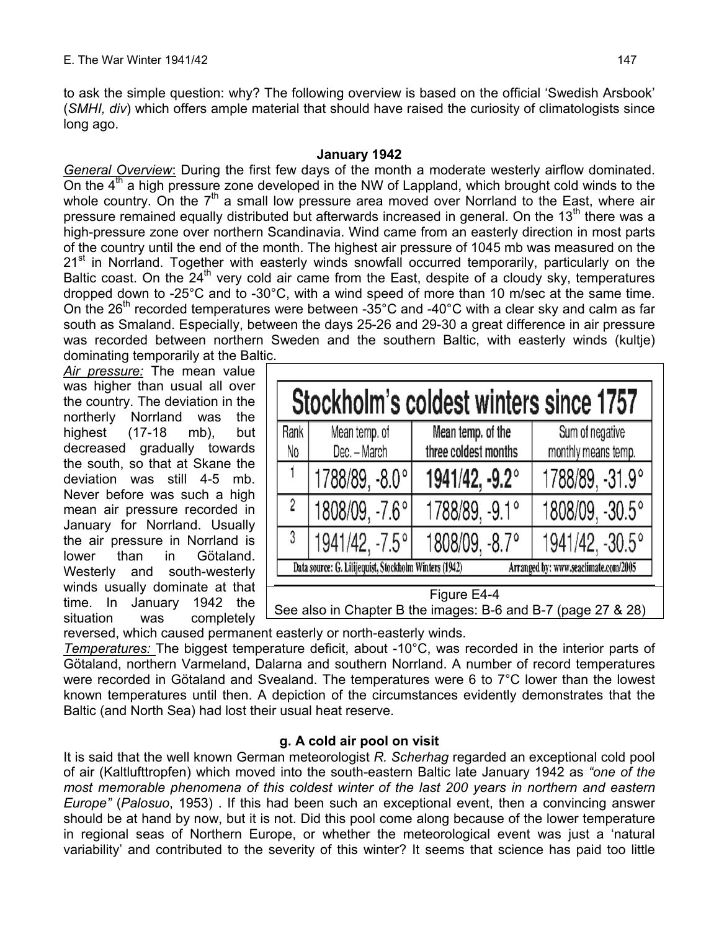to ask the simple question: why? The following overview is based on the official 'Swedish Arsbook' (*SMHI, div*) which offers ample material that should have raised the curiosity of climatologists since long ago.

#### **January 1942**

*General Overview*: During the first few days of the month a moderate westerly airflow dominated. On the  $4<sup>th</sup>$  a high pressure zone developed in the NW of Lappland, which brought cold winds to the whole country. On the  $7<sup>th</sup>$  a small low pressure area moved over Norrland to the East, where air pressure remained equally distributed but afterwards increased in general. On the 13<sup>th</sup> there was a high-pressure zone over northern Scandinavia. Wind came from an easterly direction in most parts of the country until the end of the month. The highest air pressure of 1045 mb was measured on the  $21<sup>st</sup>$  in Norrland. Together with easterly winds snowfall occurred temporarily, particularly on the Baltic coast. On the  $24<sup>th</sup>$  very cold air came from the East, despite of a cloudy sky, temperatures dropped down to -25°C and to -30°C, with a wind speed of more than 10 m/sec at the same time. On the 26<sup>th</sup> recorded temperatures were between -35 $^{\circ}$ C and -40 $^{\circ}$ C with a clear sky and calm as far south as Smaland. Especially, between the days 25-26 and 29-30 a great difference in air pressure was recorded between northern Sweden and the southern Baltic, with easterly winds (kultje) dominating temporarily at the Baltic.

*Air pressure:* The mean value was higher than usual all over the country. The deviation in the northerly Norrland was the highest (17-18 mb), but decreased gradually towards the south, so that at Skane the deviation was still 4-5 mb. Never before was such a high mean air pressure recorded in January for Norrland. Usually the air pressure in Norrland is lower than in Götaland. Westerly and south-westerly winds usually dominate at that time. In January 1942 the situation was completely

| Stockholm's coldest winters since 1757                                                        |                               |                                           |                                        |  |  |  |
|-----------------------------------------------------------------------------------------------|-------------------------------|-------------------------------------------|----------------------------------------|--|--|--|
| Rank<br>No                                                                                    | Mean temp. of<br>Dec. - March | Mean temp. of the<br>three coldest months | Sum of negative<br>monthly means temp. |  |  |  |
|                                                                                               | 1788/89, -8.0°                | 1941/42, -9.2°                            | 1788/89, -31.9°                        |  |  |  |
| $\overline{c}$                                                                                | 1808/09, -7.6°                | 1788/89, -9.1°                            | 1808/09, -30.5°                        |  |  |  |
| 3                                                                                             | 1941/42, -7.5°                | 1808/09, -8.7°                            | 1941/42, -30.5°                        |  |  |  |
| Arranged by: www.seaclimate.com/2005<br>Data source: G. Lilijequist, Stockholm Winters (1942) |                               |                                           |                                        |  |  |  |
| Figure E4-4<br>See also in Chapter B the images: B-6 and B-7 (page 27 & 28)                   |                               |                                           |                                        |  |  |  |

reversed, which caused permanent easterly or north-easterly winds.

*Temperatures:* The biggest temperature deficit, about -10°C, was recorded in the interior parts of Götaland, northern Varmeland, Dalarna and southern Norrland. A number of record temperatures were recorded in Götaland and Svealand. The temperatures were 6 to 7°C lower than the lowest known temperatures until then. A depiction of the circumstances evidently demonstrates that the Baltic (and North Sea) had lost their usual heat reserve.

# **g. A cold air pool on visit**

It is said that the well known German meteorologist *R. Scherhag* regarded an exceptional cold pool of air (Kaltlufttropfen) which moved into the south-eastern Baltic late January 1942 as *"one of the most memorable phenomena of this coldest winter of the last 200 years in northern and eastern Europe"* (*Palosuo*, 1953) . If this had been such an exceptional event, then a convincing answer should be at hand by now, but it is not. Did this pool come along because of the lower temperature in regional seas of Northern Europe, or whether the meteorological event was just a 'natural variability' and contributed to the severity of this winter? It seems that science has paid too little